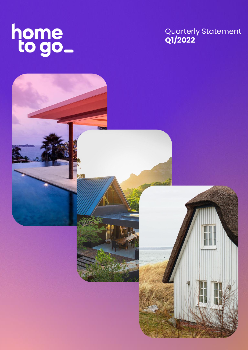

# Quarterly Statement **Q1/2022**

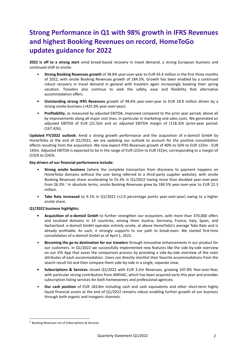# **Strong Performance in Q1 with 98% growth in IFRS Revenues and highest Booking Revenues on record, HomeToGo updates guidance for 2022**

**2022 is off to a strong start** amid broad-based recovery in travel demand, a strong European business and continued shift to onsite:

- **Strong Booking Revenues growth** of 38.8% year-over-year to EUR 43.4 million in the first three months of 2022, with onsite Booking Revenues growth of 184.5%. Growth has been enabled by a continued robust recovery in travel demand in general with travelers again increasingly booking their spring vacation. Travelers also continue to seek the safety, ease and flexibility that alternative accommodation offers.
- **• Outstanding strong IFRS Revenues** growth of 98.4% year-over-year to EUR 18.9 million driven by a strong onsite business (+425.9% year-over-year).
- **Profitability**, as measured by adjusted EBITDA, improved compared to the prior year period, above all by improvements along all major cost lines, in particular in marketing and sales costs. We generated an adjusted EBITDA of EUR (22.3)m and an adjusted EBITDA margin of (118.3)% (prior-year period: (167.4)%).

**Updated FY/2022 outlook:** Amid a strong growth performance and the acquisition of e-domizil GmbH by HomeToGo at the end of Q1/2022, we are updating our outlook to account for the positive consolidation effects resulting from the acquisition. We now expect IFRS Revenues growth of 40% to 50% to EUR 133m - EUR 143m. Adjusted EBITDA is expected to be in the range of EUR (22)m to EUR (32)m, corresponding to a margin of (15)% to (24)%.

#### **Key drivers of our financial performance include:**

- **Strong onsite business** (where the complete transaction from discovery to payment happens on HomeToGo domains without the user being referred to a third-party supplier website), with onsite Booking Revenues share accelerating to 55.3% in Q1/2022 having more than doubled year-over-year from 26.3%.<sup>1</sup> In absolute terms, onsite Booking Revenues grew by 184.5% year-over-year to EUR 22.3 million.
- **Take Rate increased** to 9.1% in Q1/2022 (+2.0 percentage points year-over-year) owing to a higher onsite share.

#### **Q1/2022 business highlights:**

- **• Acquisition of e-domizil GmbH** to further strengthen our ecosystem, with more than 370,000 offers and localized domains in 14 countries, among them Austria, Germany, France, Italy, Spain, and Switzerland. e-domizil GmbH operates entirely onsite, at above HomeToGo's average Take Rate and is already profitable. As such, it strongly supports to our path to break-even. We started first-time consolidation of e-domizil GmbH as of April 1, 2022.
- **Becoming the go-to destination for our travelers** through innovative enhancements in our product for our customers. In Q1/2022 we successfully implemented new features like the side-by-side overview on our iOS App that eases the comparison process by providing a side-by-side overview of the main attributes of each accommodation. Users can directly shortlist their favorite accommodations from the search result list and then compare them side-by-side in a single, separate view.
- **• Subscriptions & Services** closed Q1/2022 with EUR 3.2m Revenues, growing 107.8% Year-over-Year, with particular strong contribution from AMIVAC, which has been acquired early this year and provides subscription listing services for both homeowners and professional agencies.
- **Our cash position** of EUR 183.8m including cash and cash equivalents and other short-term highly liquid financial assets at the end of Q1/2022 remains robust enabling further growth of our business through both organic and inorganic channels.

 $1$  Booking Revenues net of Subscriptions & Services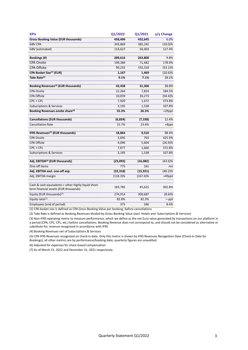| <b>KPIs</b>                                                                                   | Q1/2022          | Q1/2021     | y/y Change    |
|-----------------------------------------------------------------------------------------------|------------------|-------------|---------------|
| <b>Gross Booking Value (EUR thousands)</b>                                                    | 458,496          | 432,645     | 6.0%          |
| <b>GBV CPA</b>                                                                                | 343,869          | 382,242     | $(10.0)\%$    |
| <b>GBV</b> (estimated)                                                                        | 114,627          | 50,403      | 127.4%        |
|                                                                                               |                  |             |               |
| <b>Bookings</b> (#)                                                                           | 289,616          | 263,800     | 9.8%          |
| <b>CPA Onsite</b>                                                                             | 199,384          | 71,482      | 178.9%        |
| <b>CPA Offsite</b>                                                                            | 90,232           | 192,318     | $(53.1)\%$    |
| CPA Basket Size <sup>(1)</sup> (EUR)                                                          | 1,167            | 1,469       | $(20.6)\%$    |
| Take Rate <sup>(2)</sup>                                                                      | 9.1%             | 7.1%        | 28.2%         |
| Booking Revenues <sup>(3)</sup> (EUR thousands)                                               | 43,438           | 31,306      | 38.8%         |
| <b>CPA Onsite</b>                                                                             | 22,264           | 7,824       | 184.5%        |
| <b>CPA Offsite</b>                                                                            | 10,059           | 20,273      | $(50.4)\%$    |
| CPC + CPL                                                                                     | 7,920            | 1,672       | 373.8%        |
| <b>Subscriptions &amp; Services</b>                                                           | 3,195            | 1,538       | 107.8%        |
| <b>Booking Revenues onsite share</b> <sup>(4)</sup>                                           | 55.3%            | 26.3%       | +29ppt        |
|                                                                                               |                  |             |               |
| <b>Cancellations (EUR thousands)</b>                                                          | (6, 824)         | (7, 338)    | 12.4%         |
| <b>Cancellation Rate</b>                                                                      | 15.7%            | 23.4%       | +8ppt         |
| <b>IFRS Revenues<sup>(5)</sup> (EUR thousands)</b>                                            | 18,864           | 9,510       | 98.4%         |
| <b>CPA Onsite</b>                                                                             | 3,695            | 703         | 425.9%        |
| <b>CPA Offsite</b>                                                                            | 4,096            | 5,604       | (26.9)%       |
| CPC + CPL                                                                                     | 7,877            | 1,666       | 372.8%        |
| <b>Subscriptions &amp; Services</b>                                                           | 3,195            | 1,538       | 107.8%        |
| Adj. EBITDA <sup>(6)</sup> (EUR thousands)                                                    | (23,093)         | (16,082)    | $(43.6)\%$    |
| One-off items                                                                                 | $\overline{775}$ | 161         | nm            |
| Adj. EBITDA excl. one-off exp.                                                                | (22, 318)        | (15, 921)   | $(40.2)\%$    |
| Adj. EBITDA margin                                                                            | $(118.3)\%$      | $(167.4)\%$ | $+49$ ppt     |
|                                                                                               |                  |             |               |
| Cash & cash equivalents + other highly liquid short-<br>term financial assets (EUR thousands) | 183,785          | 45,625      | 302.8%        |
| Equity (EUR thousands) <sup>(7)</sup>                                                         | 274,914          | 300,687     | (8.6)%        |
| Equity ratio <sup>(7)</sup>                                                                   | 82.8%            | 82.3%       | $-\text{ppt}$ |
| <b>Employees (end of period)</b>                                                              | 375              | 346         | 8.4%          |

(1) CPA basket size is defined as CPA Gross Booking Value per booking, before cancellations

(2) Take Rate is defined as Booking Revenues divided by Gross Booking Value (excl. Hotels and Subscriptions & Services)

(3) Non-IFRS operating metric to measure performance, which we define as the net Euro value generated by transactions on our platform in a period (CPA, CPC, CPL, etc.) before cancellations. Booking Revenue does not correspond to, and should not be considered as alternative or substitute for, revenue recognized in accordance with IFRS

(4) Booking Revenues net of Subscriptions & Services

(5) CPA IFRS Revenues recognized on check-in date. Only this metric is shown by IFRS Revenues Recognition Date (Check-In Date for Bookings); all other metrics are by performance/booking date; quarterly figures are unaudited

(6) Adjusted for expenses for share-based compensation

(7) As of March 31, 2022 and December 31, 2021 respectively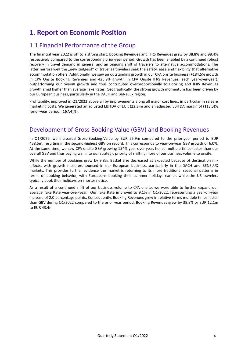## **1. Report on Economic Position**

### 1.1 Financial Performance of the Group

The financial year 2022 is off to a strong start. Booking Revenues and IFRS Revenues grew by 38.8% and 98.4% respectively compared to the corresponding prior-year period. Growth has been enabled by a continued robust recovery in travel demand in general and an ongoing shift of travelers to alternative accommodations. The latter mirrors well the "new zeitgeist" of travel as travelers seek the safety, ease and flexibility that alternative accommodation offers. Additionally, we saw an outstanding growth in our CPA onsite business (+184.5% growth in CPA Onsite Booking Revenues and 425.9% growth in CPA Onsite IFRS Revenues, each year-over-year), outperforming our overall growth and thus contributed overproportionally to Booking and IFRS Revenues growth amid higher than average Take Rates. Geographically, the strong growth momentum has been driven by our European business, particularly in the DACH and BeNeLux region.

Profitability, improved in Q1/2022 above all by improvements along all major cost lines, in particular in sales & marketing costs. We generated an adjusted EBITDA of EUR (22.3)m and an adjusted EBITDA margin of (118.3)% (prior-year period: (167.4)%).

## Development of Gross Booking Value (GBV) and Booking Revenues

In Q1/2022, we increased Gross-Booking-Value by EUR 25.9m compared to the prior-year period to EUR 458.5m, resulting in the second-highest GBV on record. This corresponds to year-on-year GBV growth of 6.0%. At the same time, we saw CPA onsite GBV growing 154% year-over-year, hence multiple times faster than our overall GBV and thus paying well into our strategic priority of shifting more of our business volume to onsite.

While the number of bookings grew by 9.8%, Basket Size decreased as expected because of destination mix effects, with growth most pronounced in our European business, particularly in the DACH and BENELUX markets. This provides further evidence the market is returning to its more traditional seasonal patterns in terms of booking behavior, with Europeans booking their summer holidays earlier, while the US travelers typically book their holidays on shorter notice.

As a result of a continued shift of our business volume to CPA onsite, we were able to further expand our average Take Rate year-over-year. Our Take Rate improved to 9.1% in Q1/2022, representing a year-on-year increase of 2.0 percentage points. Consequently, Booking Revenues grew in relative terms multiple times faster than GBV during Q1/2022 compared to the prior year period. Booking Revenues grew by 38.8% or EUR 12.1m to EUR 43.4m.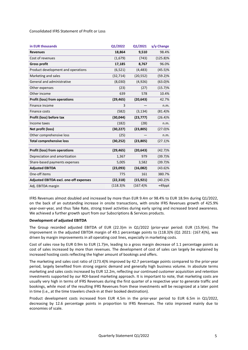Consolidated IFRS Statement of Profit or Loss

| in EUR thousands                       | Q1/2022     | Q1/2021     | y/y Change  |
|----------------------------------------|-------------|-------------|-------------|
| <b>Revenues</b>                        | 18,864      | 9,510       | 98.4%       |
| Cost of revenues                       | (1,679)     | (743)       | $(125.8)\%$ |
| <b>Gross profit</b>                    | 17,185      | 8,767       | 96.0%       |
| Product development and operations     | (6, 521)    | (4, 483)    | (45.5)%     |
| Marketing and sales                    | (32, 714)   | (20, 552)   | (59.2)%     |
| General and administrative             | (8,030)     | (4,926)     | $(63.0)\%$  |
| Other expenses                         | (23)        | (27)        | (15.7)%     |
| Other income                           | 639         | 578         | 10.4%       |
| <b>Profit (loss) from operations</b>   | (29, 465)   | (20, 643)   | 42.7%       |
| Finance income                         | 3           |             | n.m.        |
| Finance costs                          | (582)       | (3, 134)    | (81.4)%     |
| Profit (loss) before tax               | (30,044)    | (23, 777)   | (26.4)%     |
| Income taxes                           | (182)       | (28)        | n.m.        |
| Net profit (loss)                      | (30, 227)   | (23, 805)   | (27.0)%     |
| Other comprehensive loss               | (25)        |             | n.m.        |
| <b>Total comprehensive loss</b>        | (30, 252)   | (23, 805)   | $(27.1)\%$  |
| <b>Profit (loss) from operations</b>   | (29, 465)   | (20, 643)   | $(42.7)\%$  |
| Depreciation and amortization          | 1,367       | 979         | (39.7)%     |
| Share-based payments expenses          | 5,005       | 3,582       | $(39.7)\%$  |
| <b>Adjusted EBITDA</b>                 | (23,093)    | (16,082)    | $(43.6)\%$  |
| One-off items                          | 775         | 161         | 380.7%      |
| Adjusted EBITDA excl. one-off expenses | (22, 318)   | (15, 921)   | $(40.2)\%$  |
| Adj. EBITDA margin                     | $(118.3)\%$ | $(167.4)\%$ | +49ppt      |

IFRS Revenues almost doubled and increased by more than EUR 9.4m or 98.4% to EUR 18.9m during Q1/2022, on the back of an outstanding increase in onsite transactions, with onsite IFRS Revenues growth of 425.9% year-over-year, and thus Take Rate, strong travel activities during early spring and increased brand awareness. We achieved a further growth spurt from our Subscriptions & Services products.

#### **Development of adjusted EBITDA**

The Group recorded adjusted EBITDA of EUR (22.3)m in Q1/2022 (prior-year period: EUR (15.9)m). The improvement in the adjusted EBITDA margin of 49.1 percentage points to (118.3)% (Q1 2021: (167.4)%), was driven by margin improvements in all operating cost lines, especially in marketing costs.

Cost of sales rose by EUR 0.9m to EUR (1.7)m, leading to a gross margin decrease of 1.1 percentage points as cost of sales increased by more than revenues. The development of cost of sales can largely be explained by increased hosting costs reflecting the higher amount of bookings and offers.

The marketing and sales cost ratio of (173.4)% improved by 42.7 percentage points compared to the prior-year period, largely benefited from strong organic demand and generally high business volume. In absolute terms marketing and sales costs increased by EUR 12.2m, reflecting our continued customer acquisition and retention investments supported by our ROI-based marketing approach. It is important to note, that marketing costs are usually very high in terms of IFRS Revenues during the first quarter of a respective year to generate traffic and bookings, while most of the resulting IFRS Revenues from these investments will be recognized at a later point in time (i.e., at the time travelers check-in at their booked destination).

Product development costs increased from EUR 4.5m in the prior-year period to EUR 6.5m in Q1/2022, decreasing by 12.6 percentage points in proportion to IFRS Revenues. The ratio improved mainly due to economies of scale.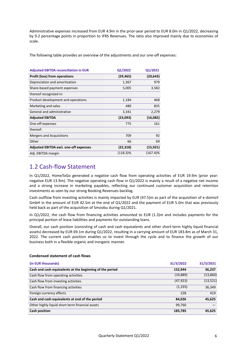Administrative expenses increased from EUR 4.9m in the prior-year period to EUR 8.0m in Q1/2022, decreasing by 9.2 percentage points in proportion to IFRS Revenues. The ratio also improved mainly due to economies of scale.

The following table provides an overview of the adjustments and our one-off expenses:

| <b>Adjusted EBITDA reconciliation in EUR</b>  | Q1/2022   | Q1/2021     |
|-----------------------------------------------|-----------|-------------|
| <b>Profit (loss) from operations</b>          | (29, 465) | (20, 643)   |
| Depreciation and amortization                 | 1,367     | 979         |
| Share-based payment expenses                  | 5,005     | 3,582       |
| thereof recognized in:                        |           |             |
| Product development and operations            | 1,184     | 468         |
| Marketing and sales                           | 480       | 835         |
| General and administrative                    | 3,341     | 2,279       |
| <b>Adjusted EBITDA</b>                        | (23,093)  | (16,082)    |
| One-off expenses                              | 775       | 161         |
| thereof:                                      |           |             |
| Mergers and Acquisitions                      | 709       | 92          |
| Other                                         | 66        | 69          |
| <b>Adjusted EBITDA excl. one-off expenses</b> | (22, 318) | (15, 921)   |
| Adj. EBITDA margin                            | (118.3)%  | $(167.4)\%$ |

### 1.2 Cash-flow Statement

In Q1/2022, HomeToGo generated a negative cash flow from operating activities of EUR 19.9m (prior year: negative EUR 13.9m). The negative operating cash flow in Q1/2022 is mainly a result of a negative net income and a strong increase in marketing payables, reflecting our continued customer acquisition and retention investments as seen by our strong Booking Revenues backlog.

Cash outflow from investing activities is mainly impacted by EUR (47.5)m as part of the acquisition of e-domizil GmbH in the amount of EUR 42.5m at the end of Q1/2022 and the payment of EUR 5.0m that was previously held back as part of the acquisition of Smoobu during Q1/2021.

In Q1/2022, the cash flow from financing activities amounted to EUR (1.3)m and includes payments for the principal portion of lease liabilities and payments for outstanding loans.

Overall, our cash position (consisting of cash and cash equivalents and other short-term highly liquid financial assets) decreased by EUR 69.1m during Q1/2022, resulting in a carrying amount of EUR 183.8m as of March 31, 2022. The current cash position enables us to invest through the cycle and to finance the growth of our business both in a flexible organic and inorganic manner.

| (in EUR thousands)                                       | 31/3/2022 | 31/3/2021 |
|----------------------------------------------------------|-----------|-----------|
| Cash and cash equivalents at the beginning of the period | 152,944   | 36,237    |
| Cash flow from operating activities                      | (19, 889) | (13, 860) |
| Cash flow from investing activities                      | (47, 923) | (13, 521) |
| Cash flow from financing activities                      | (1, 335)  | 36,349    |
| Foreign currency effects                                 | 228       | 419       |
| Cash and cash equivalents at end of the period           | 84,026    | 45,625    |
| Other highly liquid short-term financial assets          | 99,760    |           |
| <b>Cash position</b>                                     | 183,785   | 45,625    |

#### **Condensed statement of cash flows**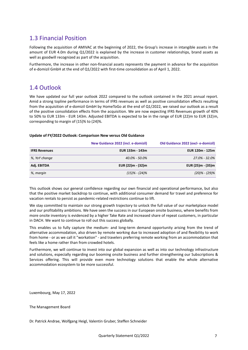### 1.3 Financial Position

Following the acquisition of AMIVAC at the beginning of 2022, the Group's increase in intangible assets in the amount of EUR 4.0m during Q1/2022 is explained by the increase in customer relationships, brand assets as well as goodwill recognized as part of the acquisition.

Furthermore, the increase in other non-financial assets represents the payment in advance for the acquisition of e-domizil GmbH at the end of Q1/2022 with first-time consolidation as of April 1, 2022.

### 1.4 Outlook

We have updated our full year outlook 2022 compared to the outlook contained in the 2021 annual report. Amid a strong topline performance in terms of IFRS revenues as well as positive consolidation effects resulting from the acquisition of e-domizil GmbH by HomeToGo at the end of Q1/2022, we raised our outlook as a result of the positive consolidation effects from the acquisition. We are now expecting IFRS Revenues growth of 40% to 50% to EUR 133m - EUR 143m. Adjusted EBITDA is expected to be in the range of EUR (22)m to EUR (32)m, corresponding to margin of (15)% to (24)%.

#### **Update of FY/2022 Outlook: Comparison New versus Old Guidance**

|                      | New Guidance 2022 (incl. e-domizil) | Old Guidance 2022 (excl-e-domizil) |
|----------------------|-------------------------------------|------------------------------------|
| <b>IFRS Revenues</b> | EUR 133m - 143m                     | EUR 120m - 125m                    |
| %, YoY change        | $40.0\% - 50.0\%$                   | 27.0% - 32.0%                      |
| Adj. EBITDA          | EUR (22)m - (32)m                   | EUR (25)m - (35)m                  |
| %, margin            | $(15)\% - (24)\%$                   | $(20)\% - (29)\%$                  |

This outlook shows our general confidence regarding our own financial and operational performance, but also that the positive market backdrop to continue, with additional consumer demand for travel and preference for vacation rentals to persist as pandemic-related restrictions continue to lift.

We stay committed to maintain our strong growth trajectory to unlock the full value of our marketplace model and our profitability ambitions. We have seen the success in our European onsite business, where benefits from more onsite inventory is evidenced by a higher Take Rate and increased share of repeat customers, in particular in DACH. We want to continue to roll out this success globally.

This enables us to fully capture the medium- and long-term demand opportunity arising from the trend of alternative accommodation, also driven by remote working due to increased adoption of and flexibility to work from home - or as we call it "workation" - and travelers preferring remote working from an accommodation that feels like a home rather than from crowded hotels.

Furthermore, we will continue to invest into our global expansion as well as into our technology infrastructure and solutions, especially regarding our booming onsite business and further strengthening our Subscriptions & Services offering. This will provide even more technology solutions that enable the whole alternative accommodation ecosystem to be more successful.

Luxembourg, May 17, 2022

The Management Board

Dr. Patrick Andrae, Wolfgang Heigl, Valentin Gruber, Steffen Schneider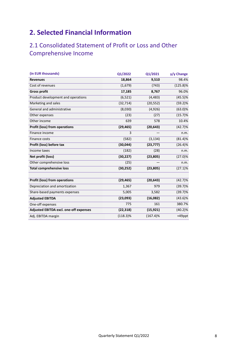# **2. Selected Financial Information**

## 2.1 Consolidated Statement of Profit or Loss and Other Comprehensive Income

| (in EUR thousands)                     | Q1/2022     | Q1/2021     | y/y Change  |
|----------------------------------------|-------------|-------------|-------------|
| <b>Revenues</b>                        | 18,864      | 9,510       | 98.4%       |
| Cost of revenues                       | (1,679)     | (743)       | $(125.8)\%$ |
| <b>Gross profit</b>                    | 17,185      | 8,767       | 96.0%       |
| Product development and operations     | (6, 521)    | (4, 483)    | $(45.5)\%$  |
| Marketing and sales                    | (32, 714)   | (20, 552)   | (59.2)%     |
| General and administrative             | (8,030)     | (4,926)     | $(63.0)\%$  |
| Other expenses                         | (23)        | (27)        | (15.7)%     |
| Other income                           | 639         | 578         | 10.4%       |
| <b>Profit (loss) from operations</b>   | (29, 465)   | (20, 643)   | (42.7)%     |
| Finance income                         | 3           |             | n.m.        |
| Finance costs                          | (582)       | (3, 134)    | (81.4)%     |
| Profit (loss) before tax               | (30, 044)   | (23, 777)   | (26.4)%     |
| Income taxes                           | (182)       | (28)        | n.m.        |
| Net profit (loss)                      | (30, 227)   | (23, 805)   | $(27.0)\%$  |
| Other comprehensive loss               | (25)        |             | n.m.        |
| <b>Total comprehensive loss</b>        | (30, 252)   | (23, 805)   | $(27.1)\%$  |
|                                        |             |             |             |
| Profit (loss) from operations          | (29, 465)   | (20, 643)   | (42.7)%     |
| Depreciation and amortization          | 1,367       | 979         | $(39.7)\%$  |
| Share-based payments expenses          | 5,005       | 3,582       | $(39.7)\%$  |
| <b>Adjusted EBITDA</b>                 | (23,093)    | (16,082)    | $(43.6)\%$  |
| One-off expenses                       | 775         | 161         | 380.7%      |
| Adjusted EBITDA excl. one-off expenses | (22, 318)   | (15, 921)   | $(40.2)\%$  |
| Adj. EBITDA margin                     | $(118.3)\%$ | $(167.4)\%$ | +49ppt      |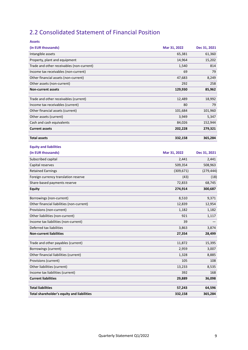# 2.2 Consolidated Statement of Financial Position

| <b>Assets</b>                                                  |               |              |
|----------------------------------------------------------------|---------------|--------------|
| (in EUR thousands)                                             | Mar 31, 2022  | Dec 31, 2021 |
| Intangible assets                                              | 65,381        | 61,360       |
| Property, plant and equipment                                  | 14,964        | 15,202       |
| Trade and other receivables (non-current)                      | 1,540         | 814          |
| Income tax receivables (non-current)                           | 69            | 79           |
| Other financial assets (non-current)                           | 47,683        | 8,249        |
| Other assets (non-current)                                     | 292           | 258          |
| <b>Non-current assets</b>                                      | 129,930       | 85,962       |
| Trade and other receivables (current)                          | 12,489        | 18,992       |
| Income tax receivables (current)                               | 80            | 79           |
| Other financial assets (current)                               | 101,684       | 101,960      |
| Other assets (current)                                         | 3,949         | 5,347        |
| Cash and cash equivalents                                      | 84,026        | 152,944      |
| <b>Current assets</b>                                          | 202,228       | 279,321      |
|                                                                |               |              |
| <b>Total assets</b>                                            | 332,158       | 365,284      |
| <b>Equity and liabilities</b>                                  |               |              |
| (in EUR thousands)                                             | Mar 31, 2022  | Dec 31, 2021 |
| Subscribed capital                                             | 2,441         | 2,441        |
| Capital reserves                                               | 509,354       | 508,963      |
| <b>Retained Earnings</b>                                       | (309, 671)    | (279, 444)   |
| Foreign currency translation reserve                           | (43)          | (18)         |
| Share-based payments reserve                                   | 72,833        | 68,745       |
| <b>Equity</b>                                                  | 274,914       | 300,687      |
| Borrowings (non-current)                                       | 8,510         | 9,371        |
| Other financial liabilities (non-current)                      | 12,839        | 12,954       |
| Provisions (non-current)                                       | 1,182         | 1,182        |
| Other liabilities (non-current)                                | 921           | 1,117        |
| Income tax liabilities (non-current)                           | 39            |              |
| Deferred tax liabilities                                       | 3,863         | 3,874        |
| <b>Non-current liabilities</b>                                 | 27,354        | 28,499       |
| Trade and other payables (current)                             | 11,872        | 15,395       |
| Borrowings (current)                                           | 2,959         | 3,007        |
| Other financial liabilities (current)                          |               |              |
| Provisions (current)                                           | 1,328         | 8,885        |
| Other liabilities (current)                                    | 105<br>13,233 | 108          |
|                                                                |               | 8,535        |
| Income tax liabilities (current)<br><b>Current liabilities</b> | 392<br>29,889 | 168          |
|                                                                |               | 36,098       |
| <b>Total liabilities</b>                                       | 57,243        | 64,596       |
| Total shareholder's equity and liabilities                     | 332,158       | 365,284      |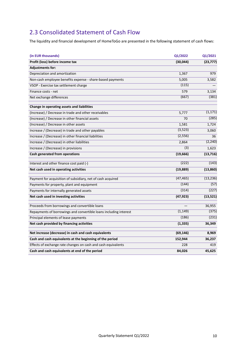## 2.3 Consolidated Statement of Cash Flow

The liquidity and financial development of HomeToGo are presented in the following statement of cash flows:

| (in EUR thousands)                                                | Q1/2022   | Q1/2021   |
|-------------------------------------------------------------------|-----------|-----------|
| Profit (loss) before income tax                                   | (30, 044) | (23, 777) |
| <b>Adjustments for:</b>                                           |           |           |
| Depreciation and amortization                                     | 1,367     | 979       |
| Non-cash employee benefits expense - share-based payments         | 5,005     | 3,582     |
| VSOP - Exercise tax settlement charge                             | (115)     |           |
| Finance costs - net                                               | 579       | 3,134     |
| Net exchange differences                                          | (667)     | (381)     |
| Change in operating assets and liabilities                        |           |           |
| (Increase) / Decrease in trade and other receivables              | 5,777     | (1, 171)  |
| (Increase) / Decrease in other financial assets                   | 70        | (285)     |
| (Increase) / Decrease in other assets                             | 1,581     | 1,724     |
| Increase / (Decrease) in trade and other payables                 | (3, 523)  | 3,060     |
| Increase / (Decrease) in other financial liabilities              | (2, 556)  | 36        |
| Increase / (Decrease) in other liabilities                        | 2,864     | (2, 240)  |
| Increase / (Decrease) in provisions                               | (3)       | 1,623     |
| Cash generated from operations                                    | (19,666)  | (13, 716) |
| Interest and other finance cost paid (-)                          | (222)     | (143)     |
| Net cash used in operating activities                             | (19, 889) | (13, 860) |
| Payment for acquisition of subsidiary, net of cash acquired       | (47, 465) | (13, 236) |
| Payments for property, plant and equipment                        | (144)     | (57)      |
| Payments for internally generated assets                          | (314)     | (227)     |
| Net cash used in investing activities                             | (47, 923) | (13, 521) |
| Proceeds from borrowings and convertible loans                    |           | 36,955    |
| Repayments of borrowings and convertible loans including interest | (1, 149)  | (375)     |
| Principal elements of lease payments                              | (186)     | (231)     |
| Net cash provided by financing activities                         | (1, 335)  | 36,349    |
| Net increase (decrease) in cash and cash equivalents              | (69, 146) | 8,969     |
| Cash and cash equivalents at the beginning of the period          | 152,944   | 36,237    |
| Effects of exchange rate changes on cash and cash equivalents     | 228       | 419       |
| Cash and cash equivalents at end of the period                    | 84,026    | 45,625    |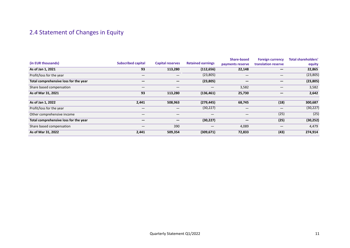# 2.4 Statement of Changes in Equity

|                                       |                           |                          |                          | Share-based      | <b>Foreign currency</b> | <b>Total shareholders'</b> |
|---------------------------------------|---------------------------|--------------------------|--------------------------|------------------|-------------------------|----------------------------|
| (in EUR thousands)                    | <b>Subscribed capital</b> | <b>Capital reserves</b>  | <b>Retained earnings</b> | payments reserve | translation reserve     | equity                     |
| As of Jan 1, 2021                     | 93                        | 113,280                  | (112, 656)               | 22,148           |                         | 22,865                     |
| Profit/loss for the year              |                           |                          | (23, 805)                |                  |                         | (23, 805)                  |
| Total comprehensive loss for the year |                           |                          | (23, 805)                | –                |                         | (23, 805)                  |
| Share based compensation              |                           | $\overline{\phantom{0}}$ |                          | 3,582            | —                       | 3,582                      |
| As of Mar 31, 2021                    | 93                        | 113,280                  | (136, 461)               | 25,730           |                         | 2,642                      |
|                                       |                           |                          |                          |                  |                         |                            |
| As of Jan 1, 2022                     | 2,441                     | 508,963                  | (279, 445)               | 68,745           | (18)                    | 300,687                    |
| Profit/loss for the year              | —                         | $-$                      | (30, 227)                | —                | —                       | (30, 227)                  |
| Other comprehensive income            |                           | $\overline{\phantom{0}}$ |                          | —                | (25)                    | (25)                       |
| Total comprehensive loss for the year | –                         |                          | (30, 227)                | –                | (25)                    | (30, 252)                  |
| Share based compensation              | —                         | 390                      |                          | 4,089            | —                       | 4,479                      |
| As of Mar 31, 2022                    | 2,441                     | 509,354                  | (309, 671)               | 72,833           | (43)                    | 274,914                    |